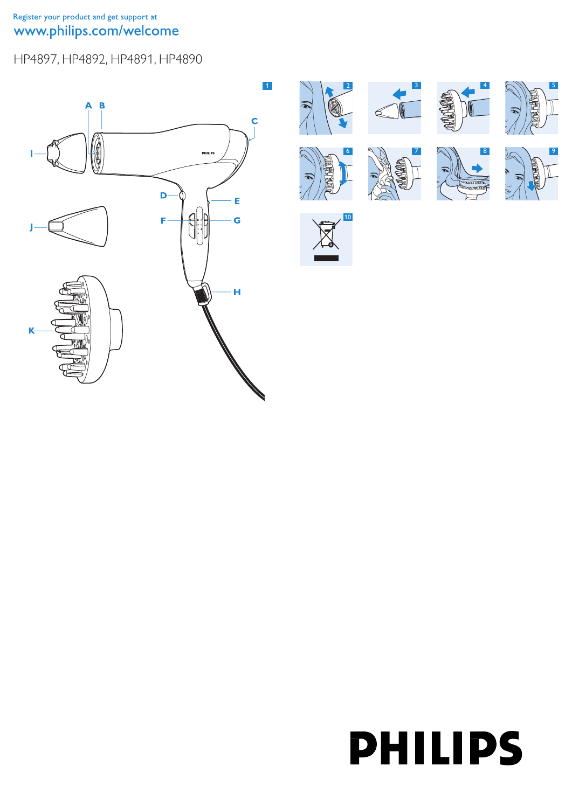Register your product and get support at www.philips.com/welcome

HP4897, HP4892, HP4891, HP4890





# **PHILIPS**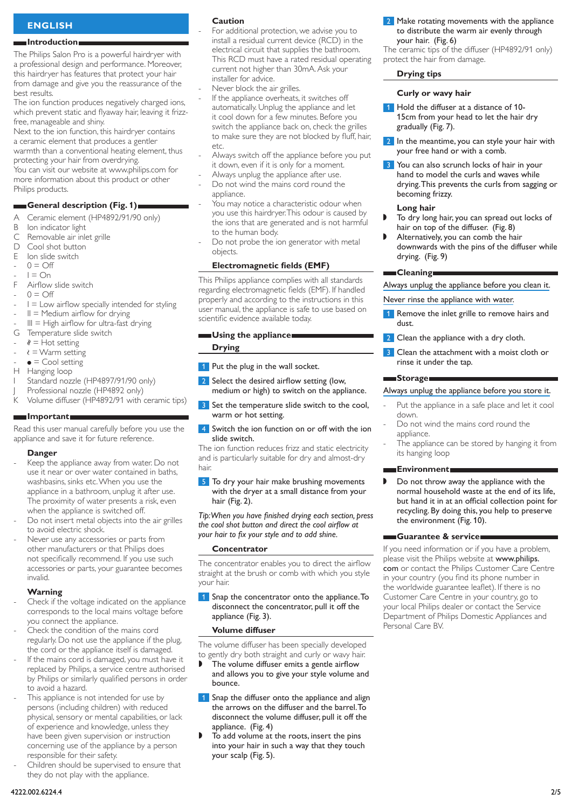# **ENGLISH**

## **Introduction**

The Philips Salon Pro is a powerful hairdryer with a professional design and performance. Moreover, this hairdryer has features that protect your hair from damage and give you the reassurance of the best results.

The ion function produces negatively charged ions, which prevent static and flyaway hair, leaving it frizzfree, manageable and shiny.

Next to the ion function, this hairdryer contains a ceramic element that produces a gentler warmth than a conventional heating element, thus

protecting your hair from overdrying. You can visit our website at www.philips.com for

more information about this product or other Philips products.

# **General description (Fig. 1)**

- A Ceramic element (HP4892/91/90 only)<br>B Ion indicator light
- B Ion indicator light<br>C Removable air inle
- Removable air inlet grille
- D Cool shot button<br>E Ion slide switch Ion slide switch
- $0 = \bigcap$
- $I = On$ -
- F Airflow slide switch -
- $0 = \bigcirc$
- $I = Low$  airflow specially intended for styling -
- $II =$  Medium airflow for drying -
- $III = High$  airflow for ultra-fast drying -
- G Temperature slide switch -
- $\ell =$  Hot setting -
- $\zeta$  = Warm setting -
- $\bullet$  = Cool setting -
- H Hanging loop
- Standard nozzle (HP4897/91/90 only)
- Professional nozzle (HP4892 only)
- K Volume diffuser (HP4892/91 with ceramic tips)

#### **Important**

Read this user manual carefully before you use the appliance and save it for future reference.

#### **Danger**

- Keep the appliance away from water. Do not use it near or over water contained in baths, washbasins, sinks etc. When you use the appliance in a bathroom, unplug it after use. The proximity of water presents a risk, even when the appliance is switched off. -
- Do not insert metal objects into the air grilles to avoid electric shock. -
- Never use any accessories or parts from other manufacturers or that Philips does not specifically recommend. If you use such accessories or parts, your guarantee becomes invalid. -

# **Warning**

- Check if the voltage indicated on the appliance corresponds to the local mains voltage before you connect the appliance. -
- Check the condition of the mains cord regularly. Do not use the appliance if the plug, the cord or the appliance itself is damaged. -
- If the mains cord is damaged, you must have it replaced by Philips, a service centre authorised by Philips or similarly qualified persons in order to avoid a hazard. -
- This appliance is not intended for use by persons (including children) with reduced physical, sensory or mental capabilities, or lack of experience and knowledge, unless they have been given supervision or instruction concerning use of the appliance by a person responsible for their safety. -
- Children should be supervised to ensure that they do not play with the appliance. -

#### **Caution**

-

-

- For additional protection, we advise you to install a residual current device (RCD) in the electrical circuit that supplies the bathroom. This RCD must have a rated residual operating current not higher than 30mA. Ask your installer for advice.
- Never block the air grilles. -
- If the appliance overheats, it switches off automatically. Unplug the appliance and let it cool down for a few minutes. Before you switch the appliance back on, check the grilles to make sure they are not blocked by fluff, hair, etc.
- Always switch off the appliance before you put it down, even if it is only for a moment. -
- Always unplug the appliance after use. -
- Do not wind the mains cord round the appliance. -
- You may notice a characteristic odour when you use this hairdryer. This odour is caused by the ions that are generated and is not harmful to the human body. -
- Do not probe the ion generator with metal objects. -

#### **Electromagnetic fields (EMF)**

This Philips appliance complies with all standards regarding electromagnetic fields (EMF). If handled properly and according to the instructions in this user manual, the appliance is safe to use based on scientific evidence available today.

#### **Using the appliance**

**Drying**

- **1** Put the plug in the wall socket.
- 2 Select the desired airflow setting (low, medium or high) to switch on the appliance.
- <sup>3</sup> Set the temperature slide switch to the cool, warm or hot setting.
- **4** Switch the ion function on or off with the ion slide switch.

The ion function reduces frizz and static electricity and is particularly suitable for dry and almost-dry hair.

**5** To dry your hair make brushing movements with the dryer at a small distance from your hair (Fig. 2).

*Tip: When you have finished drying each section, press the cool shot button and direct the cool airflow at your hair to fix your style and to add shine.*

## **Concentrator**

The concentrator enables you to direct the airflow straight at the brush or comb with which you style your hair.

Snap the concentrator onto the appliance. To disconnect the concentrator, pull it off the appliance (Fig. 3).

#### **Volume diffuser**

The volume diffuser has been specially developed to gently dry both straight and curly or wavy hair.

- The volume diffuser emits a gentle airflow and allows you to give your style volume and bounce. ,
- 1 Snap the diffuser onto the appliance and align the arrows on the diffuser and the barrel.To disconnect the volume diffuser, pull it off the appliance. (Fig. 4)
- To add volume at the roots, insert the pins into your hair in such a way that they touch your scalp (Fig. 5). ,

2 Make rotating movements with the appliance to distribute the warm air evenly through your hair. (Fig. 6)

The ceramic tips of the diffuser (HP4892/91 only) protect the hair from damage.

#### **Drying tips**

#### **Curly or wavy hair**

- 1 Hold the diffuser at a distance of 10-15cm from your head to let the hair dry gradually (Fig. 7).
- 2 In the meantime, you can style your hair with your free hand or with a comb.
- **3** You can also scrunch locks of hair in your hand to model the curls and waves while drying.This prevents the curls from sagging or becoming frizzy.

#### **Long hair**

- To dry long hair, you can spread out locks of hair on top of the diffuser. (Fig. 8) ,
- Alternatively, you can comb the hair downwards with the pins of the diffuser while drying. (Fig. 9) ,

#### **Cleaning**

Always unplug the appliance before you clean it.

Never rinse the appliance with water.

- 1 Remove the inlet grille to remove hairs and dust.
- **2** Clean the appliance with a dry cloth.
- Clean the attachment with a moist cloth or rinse it under the tap.

#### **Storage**

#### Always unplug the appliance before you store it.

- Put the appliance in a safe place and let it cool down. -
- Do not wind the mains cord round the appliance. -
- The appliance can be stored by hanging it from its hanging loop -

# **Environment**

Do not throw away the appliance with the normal household waste at the end of its life, but hand it in at an official collection point for recycling. By doing this, you help to preserve the environment (Fig. 10). ,

#### **Guarantee & service**

If you need information or if you have a problem, please visit the Philips website at www.philips. com or contact the Philips Customer Care Centre in your country (you find its phone number in the worldwide guarantee leaflet). If there is no Customer Care Centre in your country, go to your local Philips dealer or contact the Service Department of Philips Domestic Appliances and Personal Care BV.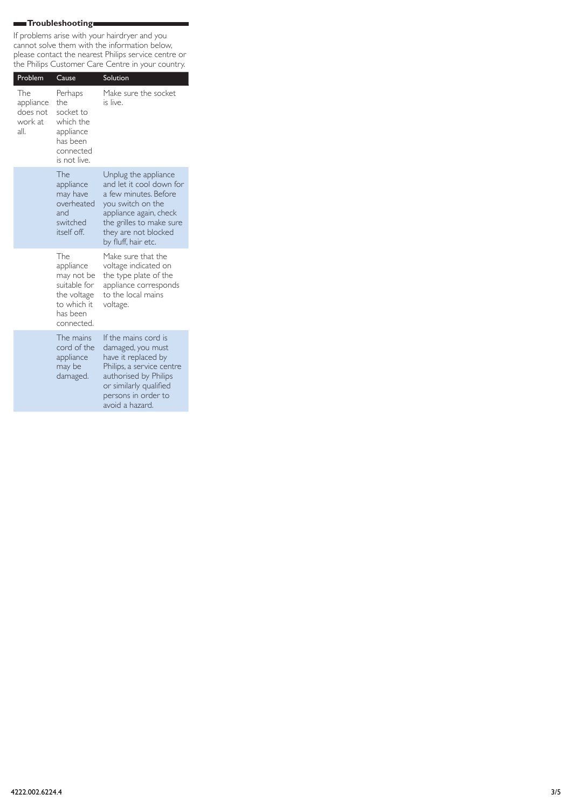# **Troubleshooting**

ı

If problems arise with your hairdryer and you cannot solve them with the information below, please contact the nearest Philips service centre or the Philips Customer Care Centre in your country.

| Problem                                         | Cause                                                                                                  | Solution                                                                                                                                                                                            |
|-------------------------------------------------|--------------------------------------------------------------------------------------------------------|-----------------------------------------------------------------------------------------------------------------------------------------------------------------------------------------------------|
| The<br>appliance<br>does not<br>work at<br>all. | Perhaps<br>the<br>socket to<br>which the<br>appliance<br>has been<br>connected<br>is not live.         | Make sure the socket<br>is live.                                                                                                                                                                    |
|                                                 | The<br>appliance<br>may have<br>overheated<br>and<br>switched<br>itself off.                           | Unplug the appliance<br>and let it cool down for<br>a few minutes. Before<br>you switch on the<br>appliance again, check<br>the grilles to make sure<br>they are not blocked<br>by fluff, hair etc. |
|                                                 | The<br>appliance<br>may not be<br>suitable for<br>the voltage<br>to which it<br>has been<br>connected. | Make sure that the<br>voltage indicated on<br>the type plate of the<br>appliance corresponds<br>to the local mains<br>voltage.                                                                      |
|                                                 | The mains<br>cord of the<br>appliance<br>may be<br>damaged.                                            | If the mains cord is<br>damaged, you must<br>have it replaced by<br>Philips, a service centre<br>authorised by Philips<br>or similarly qualified<br>persons in order to<br>avoid a hazard.          |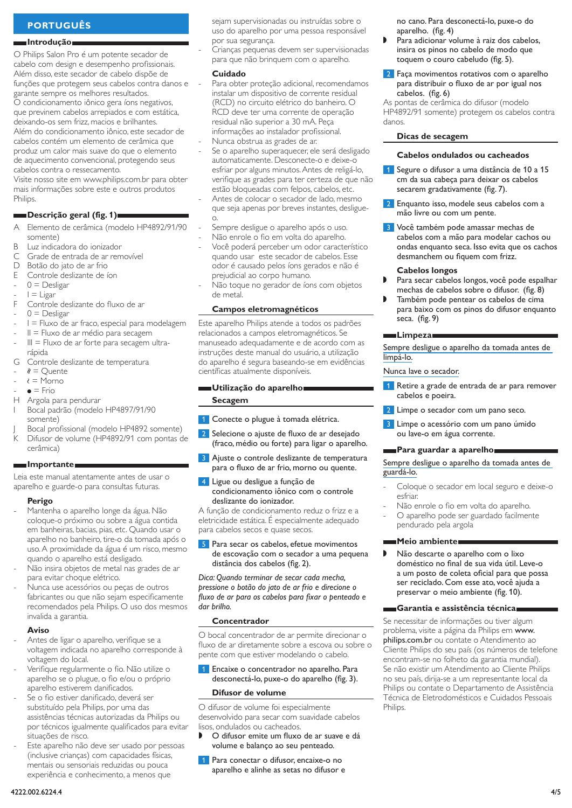# **PORTUGUÊS**

#### **Introdução**

O Philips Salon Pro é um potente secador de cabelo com design e desempenho profissionais. Além disso, este secador de cabelo dispõe de funções que protegem seus cabelos contra danos e garante sempre os melhores resultados.

O condicionamento iônico gera íons negativos, que previnem cabelos arrepiados e com estática, deixando-os sem frizz, macios e brilhantes.

Além do condicionamento iônico, este secador de cabelos contém um elemento de cerâmica que produz um calor mais suave do que o elemento de aquecimento convencional, protegendo seus cabelos contra o ressecamento.

Visite nosso site em www.philips.com.br para obter mais informações sobre este e outros produtos Philips.

# **Descrição geral (fig. 1)**

- A Elemento de cerâmica (modelo HP4892/91/90 somente)
- $B$  Luz indicadora do ionizador<br>C Grade de entrada de ar rem
- Grade de entrada de ar removível
- D Botão do jato de ar frio<br>E Controle deslizante de í
- Controle deslizante de íon
- $0 =$  Desligar -
- $I = Ligar$ -
- F Controle deslizante do fluxo de ar
- $0 =$  Desligar -
- I = Fluxo de ar fraco, especial para modelagem -
- $II =$  Fluxo de ar médio para secagem -
- $III =$  Fluxo de ar forte para secagem ultrarápida -
- G Controle deslizante de temperatura
- $\ell$  = Quente -
- $\lambda = \text{Morno}$ -
- $\bullet$  = Frio -
- H Argola para pendurar
- Bocal padrão (modelo HP4897/91/90 somente)
- Bocal profissional (modelo HP4892 somente)
- Difusor de volume (HP4892/91 com pontas de cerâmica)

## **Importante**

Leia este manual atentamente antes de usar o aparelho e guarde-o para consultas futuras.

#### **Perigo**

- Mantenha o aparelho longe da água. Não coloque-o próximo ou sobre a água contida em banheiras, bacias, pias, etc. Quando usar o aparelho no banheiro, tire-o da tomada após o uso. A proximidade da água é um risco, mesmo quando o aparelho está desligado. -
- Não insira objetos de metal nas grades de ar para evitar choque elétrico. -
- Nunca use acessórios ou peças de outros fabricantes ou que não sejam especificamente recomendados pela Philips. O uso dos mesmos invalida a garantia. -

# **Aviso**

- Antes de ligar o aparelho, verifique se a voltagem indicada no aparelho corresponde à voltagem do local. -
- Verifique regularmente o fio. Não utilize o aparelho se o plugue, o fio e/ou o próprio aparelho estiverem danificados. -
- Se o fio estiver danificado, deverá ser substituído pela Philips, por uma das assistências técnicas autorizadas da Philips ou por técnicos igualmente qualificados para evitar situações de risco. -
- Este aparelho não deve ser usado por pessoas (inclusive crianças) com capacidades físicas, mentais ou sensoriais reduzidas ou pouca experiência e conhecimento, a menos que -

sejam supervisionadas ou instruídas sobre o uso do aparelho por uma pessoa responsável por sua segurança.

Crianças pequenas devem ser supervisionadas para que não brinquem com o aparelho.

# **Cuidado**

-

-

-

-

- Para obter proteção adicional, recomendamos instalar um dispositivo de corrente residual (RCD) no circuito elétrico do banheiro. O RCD deve ter uma corrente de operação residual não superior a 30 mA. Peça informações ao instalador profissional.
- Nunca obstrua as grades de ar. -
- Se o aparelho superaquecer, ele será desligado automaticamente. Desconecte-o e deixe-o esfriar por alguns minutos. Antes de religá-lo, verifique as grades para ter certeza de que não estão bloqueadas com felpos, cabelos, etc. -
- Antes de colocar o secador de lado, mesmo que seja apenas por breves instantes, desligueo.
- Sempre desligue o aparelho após o uso.
- Não enrole o fio em volta do aparelho. -
- Você poderá perceber um odor característico quando usar este secador de cabelos. Esse odor é causado pelos íons gerados e não é prejudicial ao corpo humano. -
- Não toque no gerador de íons com objetos de metal. -

# **Campos eletromagnéticos**

Este aparelho Philips atende a todos os padrões relacionados a campos eletromagnéticos. Se manuseado adequadamente e de acordo com as instruções deste manual do usuário, a utilização do aparelho é segura baseando-se em evidências científicas atualmente disponíveis.

# **Utilização do aparelho Secagem**

#### <sup>1</sup> Conecte o plugue à tomada elétrica.

- 2 Selecione o ajuste de fluxo de ar desejado (fraco, médio ou forte) para ligar o aparelho.
- **3** Ajuste o controle deslizante de temperatura para o fluxo de ar frio, morno ou quente.
- Ligue ou desligue a função de condicionamento iônico com o controle deslizante do ionizador.

A função de condicionamento reduz o frizz e a eletricidade estática. É especialmente adequado para cabelos secos e quase secos.

**5** Para secar os cabelos, efetue movimentos de escovação com o secador a uma pequena distância dos cabelos (fig. 2).

*Dica: Quando terminar de secar cada mecha, pressione o botão do jato de ar frio e direcione o fluxo de ar para os cabelos para fixar o penteado e dar brilho.*

#### **Concentrador**

O bocal concentrador de ar permite direcionar o fluxo de ar diretamente sobre a escova ou sobre o pente com que estiver modelando o cabelo.

1 Encaixe o concentrador no aparelho. Para desconectá-lo, puxe-o do aparelho (fig. 3).

#### **Difusor de volume**

O difusor de volume foi especialmente desenvolvido para secar com suavidade cabelos lisos, ondulados ou cacheados.

- O difusor emite um fluxo de ar suave e dá volume e balanço ao seu penteado. ,
- 1 Para conectar o difusor, encaixe-o no aparelho e alinhe as setas no difusor e

no cano. Para desconectá-lo, puxe-o do aparelho. (fig. 4)

- Para adicionar volume à raiz dos cabelos, insira os pinos no cabelo de modo que toquem o couro cabeludo (fig. 5). ,
- **2** Faça movimentos rotativos com o aparelho para distribuir o fluxo de ar por igual nos cabelos. (fig. 6)

As pontas de cerâmica do difusor (modelo HP4892/91 somente) protegem os cabelos contra danos.

#### **Dicas de secagem**

#### **Cabelos ondulados ou cacheados**

- 1 Segure o difusor a uma distância de 10 a 15 cm da sua cabeça para deixar os cabelos secarem gradativamente (fig. 7).
- 2 Enquanto isso, modele seus cabelos com a mão livre ou com um pente.
- **3** Você também pode amassar mechas de cabelos com a mão para modelar cachos ou ondas enquanto seca. Isso evita que os cachos desmanchem ou fiquem com frizz.

#### **Cabelos longos**

- Para secar cabelos longos, você pode espalhar mechas de cabelos sobre o difusor. (fig. 8) ,
- Também pode pentear os cabelos de cima para baixo com os pinos do difusor enquanto seca. (fig. 9) ,

#### **Limpeza**

Sempre desligue o aparelho da tomada antes de limpá-lo.

Nunca lave o secador.

- 1 Retire a grade de entrada de ar para remover cabelos e poeira.
- 2 Limpe o secador com um pano seco.
- **3** Limpe o acessório com um pano úmido ou lave-o em água corrente.

# **Para guardar a aparelho**

Sempre desligue o aparelho da tomada antes de guardá-lo.

- Coloque o secador em local seguro e deixe-o esfriar.
- Não enrole o fio em volta do aparelho. -
- O aparelho pode ser guardado facilmente pendurado pela argola -

## **Meio ambiente**

-

Não descarte o aparelho com o lixo doméstico no final de sua vida útil. Leve-o a um posto de coleta oficial para que possa ser reciclado. Com esse ato, você ajuda a preservar o meio ambiente (fig. 10).  $\blacksquare$ 

#### **Garantia e assistência técnica**

Se necessitar de informações ou tiver algum problema, visite a página da Philips em www. philips.com.br ou contate o Atendimento ao Cliente Philips do seu país (os números de telefone encontram-se no folheto da garantia mundial). Se não existir um Atendimento ao Cliente Philips no seu país, dirija-se a um representante local da Philips ou contate o Departamento de Assistência Técnica de Eletrodomésticos e Cuidados Pessoais Philips.